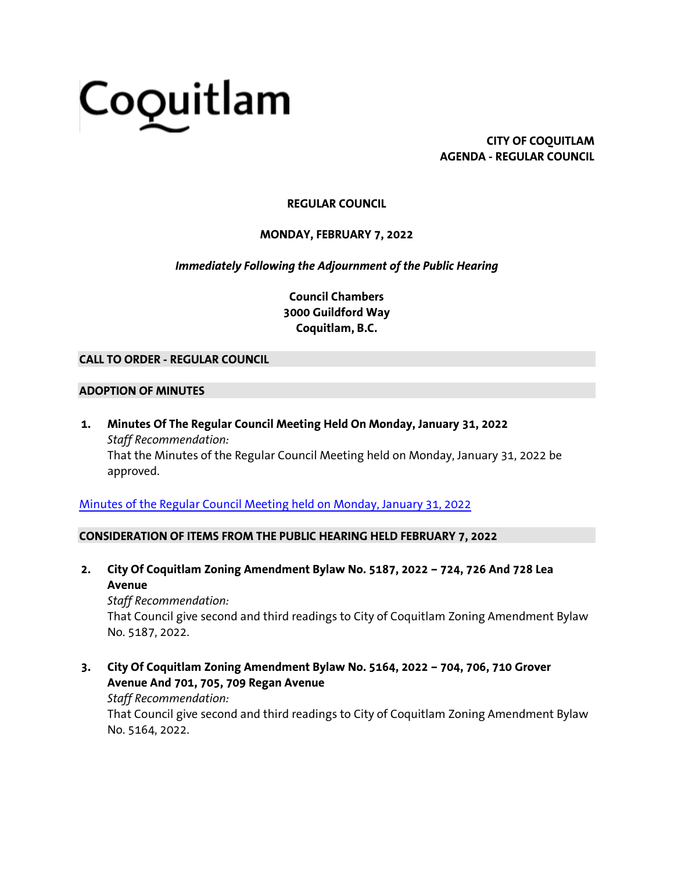# Coquitlam

**CITY OF COQUITLAM AGENDA - REGULAR COUNCIL**

### **REGULAR COUNCIL**

**MONDAY, FEBRUARY 7, 2022**

*Immediately Following the Adjournment of the Public Hearing*

**Council Chambers 3000 Guildford Way Coquitlam, B.C.**

#### **CALL TO ORDER - REGULAR COUNCIL**

#### **ADOPTION OF MINUTES**

**1. Minutes Of The Regular Council Meeting Held On Monday, January 31, 2022** *Staff Recommendation:* That the Minutes of the Regular Council Meeting held on Monday, January 31, 2022 be approved.

[Minutes of the Regular Council Meeting held on Monday, January 31, 2022](https://coquitlam.ca.granicus.com/MetaViewer.php?view_id=2&event_id=1287&meta_id=52471)

#### **CONSIDERATION OF ITEMS FROM THE PUBLIC HEARING HELD FEBRUARY 7, 2022**

**2. City Of Coquitlam Zoning Amendment Bylaw No. 5187, 2022 – 724, 726 And 728 Lea Avenue**

*Staff Recommendation:* That Council give second and third readings to City of Coquitlam Zoning Amendment Bylaw No. 5187, 2022.

**3. City Of Coquitlam Zoning Amendment Bylaw No. 5164, 2022 – 704, 706, 710 Grover Avenue And 701, 705, 709 Regan Avenue**

*Staff Recommendation:*

That Council give second and third readings to City of Coquitlam Zoning Amendment Bylaw No. 5164, 2022.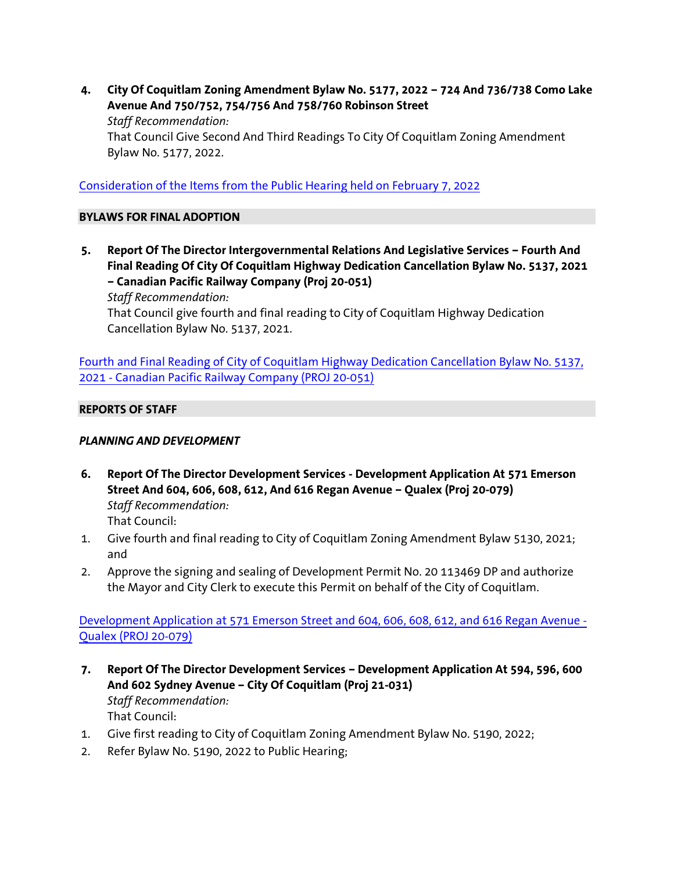**4. City Of Coquitlam Zoning Amendment Bylaw No. 5177, 2022 – 724 And 736/738 Como Lake Avenue And 750/752, 754/756 And 758/760 Robinson Street** *Staff Recommendation:* That Council Give Second And Third Readings To City Of Coquitlam Zoning Amendment Bylaw No. 5177, 2022.

[Consideration of the Items from the Public Hearing held on February 7, 2022](https://coquitlam.ca.granicus.com/MetaViewer.php?view_id=2&event_id=1287&meta_id=52474)

#### **BYLAWS FOR FINAL ADOPTION**

**5. Report Of The Director Intergovernmental Relations And Legislative Services – Fourth And Final Reading Of City Of Coquitlam Highway Dedication Cancellation Bylaw No. 5137, 2021 – Canadian Pacific Railway Company (Proj 20-051)**

*Staff Recommendation:*

That Council give fourth and final reading to City of Coquitlam Highway Dedication Cancellation Bylaw No. 5137, 2021.

[Fourth and Final Reading of City of Coquitlam Highway Dedication Cancellation Bylaw No. 5137,](https://coquitlam.ca.granicus.com/MetaViewer.php?view_id=2&event_id=1287&meta_id=52476)  2021 - [Canadian Pacific Railway Company \(PROJ 20-051\)](https://coquitlam.ca.granicus.com/MetaViewer.php?view_id=2&event_id=1287&meta_id=52476)

#### **REPORTS OF STAFF**

#### *PLANNING AND DEVELOPMENT*

- **6. Report Of The Director Development Services - Development Application At 571 Emerson Street And 604, 606, 608, 612, And 616 Regan Avenue – Qualex (Proj 20-079)** *Staff Recommendation:* That Council:
- 1. Give fourth and final reading to City of Coquitlam Zoning Amendment Bylaw 5130, 2021; and
- 2. Approve the signing and sealing of Development Permit No. 20 113469 DP and authorize the Mayor and City Clerk to execute this Permit on behalf of the City of Coquitlam.

[Development Application at 571 Emerson Street and 604, 606, 608, 612, and 616 Regan Avenue -](https://coquitlam.ca.granicus.com/MetaViewer.php?view_id=2&event_id=1287&meta_id=52478) [Qualex \(PROJ 20-079\)](https://coquitlam.ca.granicus.com/MetaViewer.php?view_id=2&event_id=1287&meta_id=52478)

- **7. Report Of The Director Development Services – Development Application At 594, 596, 600 And 602 Sydney Avenue – City Of Coquitlam (Proj 21-031)** *Staff Recommendation:* That Council:
- 1. Give first reading to City of Coquitlam Zoning Amendment Bylaw No. 5190, 2022;
- 2. Refer Bylaw No. 5190, 2022 to Public Hearing;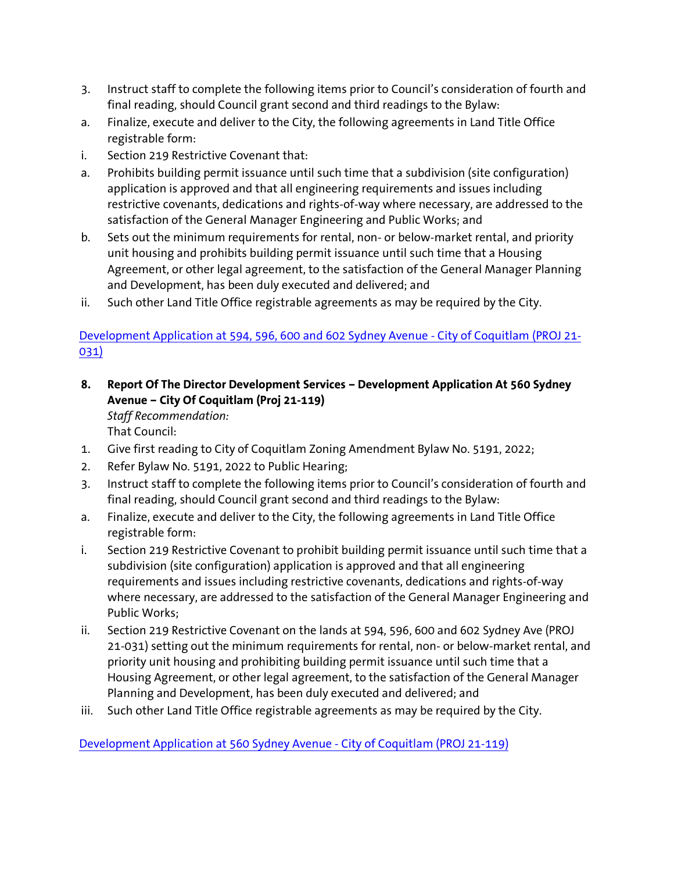- 3. Instruct staff to complete the following items prior to Council's consideration of fourth and final reading, should Council grant second and third readings to the Bylaw:
- a. Finalize, execute and deliver to the City, the following agreements in Land Title Office registrable form:
- i. Section 219 Restrictive Covenant that:
- a. Prohibits building permit issuance until such time that a subdivision (site configuration) application is approved and that all engineering requirements and issues including restrictive covenants, dedications and rights-of-way where necessary, are addressed to the satisfaction of the General Manager Engineering and Public Works; and
- b. Sets out the minimum requirements for rental, non- or below-market rental, and priority unit housing and prohibits building permit issuance until such time that a Housing Agreement, or other legal agreement, to the satisfaction of the General Manager Planning and Development, has been duly executed and delivered; and
- ii. Such other Land Title Office registrable agreements as may be required by the City.

## [Development Application at 594, 596, 600 and 602 Sydney Avenue -](https://coquitlam.ca.granicus.com/MetaViewer.php?view_id=2&event_id=1287&meta_id=52480) City of Coquitlam (PROJ 21- [031\)](https://coquitlam.ca.granicus.com/MetaViewer.php?view_id=2&event_id=1287&meta_id=52480)

**8. Report Of The Director Development Services – Development Application At 560 Sydney Avenue – City Of Coquitlam (Proj 21-119)**

*Staff Recommendation:*

That Council:

- 1. Give first reading to City of Coquitlam Zoning Amendment Bylaw No. 5191, 2022;
- 2. Refer Bylaw No. 5191, 2022 to Public Hearing;
- 3. Instruct staff to complete the following items prior to Council's consideration of fourth and final reading, should Council grant second and third readings to the Bylaw:
- a. Finalize, execute and deliver to the City, the following agreements in Land Title Office registrable form:
- i. Section 219 Restrictive Covenant to prohibit building permit issuance until such time that a subdivision (site configuration) application is approved and that all engineering requirements and issues including restrictive covenants, dedications and rights-of-way where necessary, are addressed to the satisfaction of the General Manager Engineering and Public Works;
- ii. Section 219 Restrictive Covenant on the lands at 594, 596, 600 and 602 Sydney Ave (PROJ 21-031) setting out the minimum requirements for rental, non- or below-market rental, and priority unit housing and prohibiting building permit issuance until such time that a Housing Agreement, or other legal agreement, to the satisfaction of the General Manager Planning and Development, has been duly executed and delivered; and
- iii. Such other Land Title Office registrable agreements as may be required by the City.

[Development Application at 560 Sydney Avenue -](https://coquitlam.ca.granicus.com/MetaViewer.php?view_id=2&event_id=1287&meta_id=52482) City of Coquitlam (PROJ 21-119)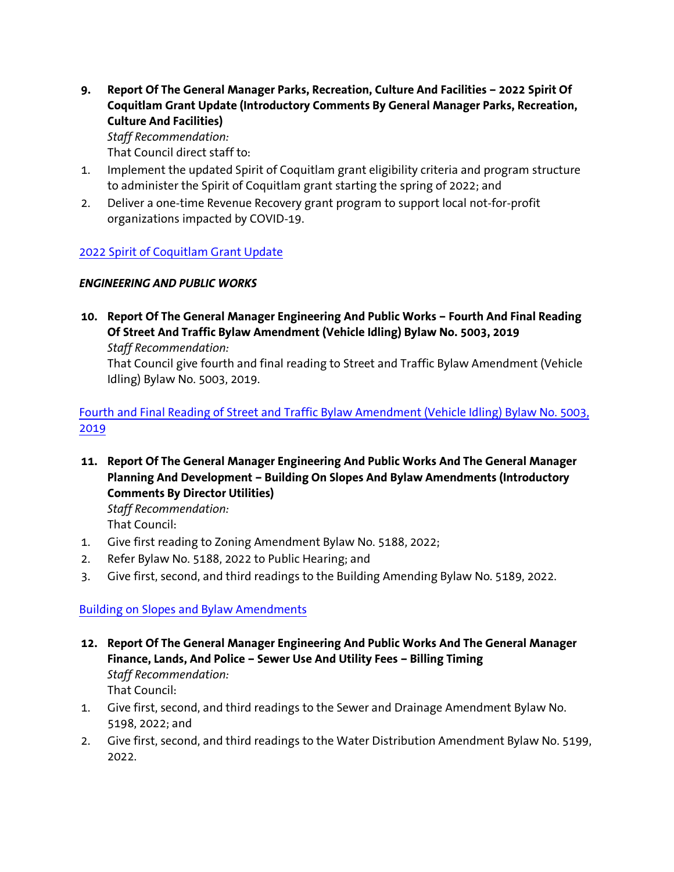**9. Report Of The General Manager Parks, Recreation, Culture And Facilities – 2022 Spirit Of Coquitlam Grant Update (Introductory Comments By General Manager Parks, Recreation, Culture And Facilities)** *Staff Recommendation:*

That Council direct staff to:

- 1. Implement the updated Spirit of Coquitlam grant eligibility criteria and program structure to administer the Spirit of Coquitlam grant starting the spring of 2022; and
- 2. Deliver a one-time Revenue Recovery grant program to support local not-for-profit organizations impacted by COVID-19.

## [2022 Spirit of Coquitlam Grant Update](https://coquitlam.ca.granicus.com/MetaViewer.php?view_id=2&event_id=1287&meta_id=52486)

## *ENGINEERING AND PUBLIC WORKS*

**10. Report Of The General Manager Engineering And Public Works – Fourth And Final Reading Of Street And Traffic Bylaw Amendment (Vehicle Idling) Bylaw No. 5003, 2019**

*Staff Recommendation:*

That Council give fourth and final reading to Street and Traffic Bylaw Amendment (Vehicle Idling) Bylaw No. 5003, 2019.

[Fourth and Final Reading of Street and Traffic Bylaw Amendment \(Vehicle Idling\) Bylaw No. 5003,](https://coquitlam.ca.granicus.com/MetaViewer.php?view_id=2&event_id=1287&meta_id=52488)  [2019](https://coquitlam.ca.granicus.com/MetaViewer.php?view_id=2&event_id=1287&meta_id=52488)

**11. Report Of The General Manager Engineering And Public Works And The General Manager Planning And Development – Building On Slopes And Bylaw Amendments (Introductory Comments By Director Utilities)**

*Staff Recommendation:* That Council:

- 1. Give first reading to Zoning Amendment Bylaw No. 5188, 2022;
- 2. Refer Bylaw No. 5188, 2022 to Public Hearing; and
- 3. Give first, second, and third readings to the Building Amending Bylaw No. 5189, 2022.

[Building on Slopes and Bylaw Amendments](https://coquitlam.ca.granicus.com/MetaViewer.php?view_id=2&event_id=1287&meta_id=52490)

- **12. Report Of The General Manager Engineering And Public Works And The General Manager Finance, Lands, And Police – Sewer Use And Utility Fees – Billing Timing** *Staff Recommendation:* That Council:
- 1. Give first, second, and third readings to the Sewer and Drainage Amendment Bylaw No. 5198, 2022; and
- 2. Give first, second, and third readings to the Water Distribution Amendment Bylaw No. 5199, 2022.